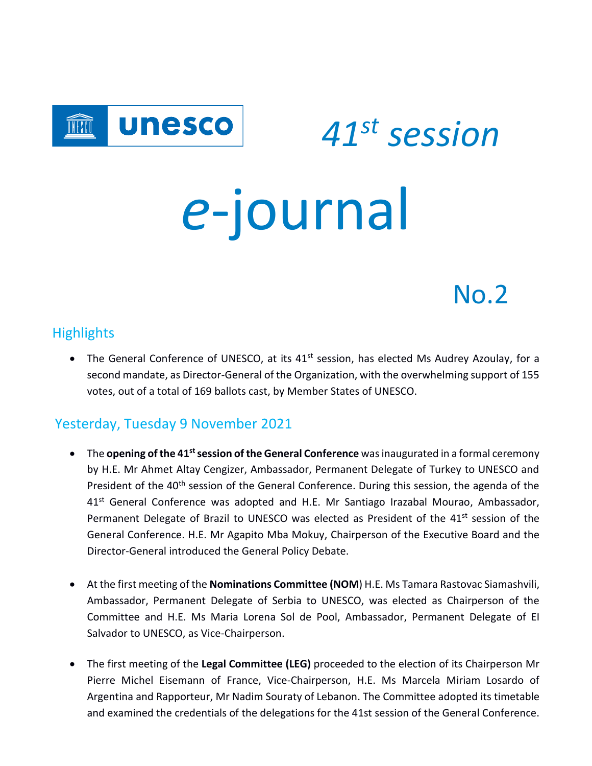

 *<sup>41</sup>st session e*-journal

# No.2

#### Highlights

• The General Conference of UNESCO, at its 41<sup>st</sup> session, has elected Ms Audrey Azoulay, for a second mandate, as Director-General of the Organization, with the overwhelming support of 155 votes, out of a total of 169 ballots cast, by Member States of UNESCO.

### Yesterday, Tuesday 9 November 2021

- The **opening of the 41stsession of the General Conference** was inaugurated in a formal ceremony by H.E. Mr Ahmet Altay Cengizer, Ambassador, Permanent Delegate of Turkey to UNESCO and President of the 40<sup>th</sup> session of the General Conference. During this session, the agenda of the 41<sup>st</sup> General Conference was adopted and H.E. Mr Santiago Irazabal Mourao, Ambassador, Permanent Delegate of Brazil to UNESCO was elected as President of the 41<sup>st</sup> session of the General Conference. H.E. Mr Agapito Mba Mokuy, Chairperson of the Executive Board and the Director-General introduced the General Policy Debate.
- At the first meeting of the **Nominations Committee (NOM**) H.E. Ms Tamara Rastovac Siamashvili, Ambassador, Permanent Delegate of Serbia to UNESCO, was elected as Chairperson of the Committee and H.E. Ms Maria Lorena Sol de Pool, Ambassador, Permanent Delegate of EI Salvador to UNESCO, as Vice-Chairperson.
- The first meeting of the **Legal Committee (LEG)** proceeded to the election of its Chairperson Mr Pierre Michel Eisemann of France, Vice-Chairperson, H.E. Ms Marcela Miriam Losardo of Argentina and Rapporteur, Mr Nadim Souraty of Lebanon. The Committee adopted its timetable and examined the credentials of the delegations for the 41st session of the General Conference.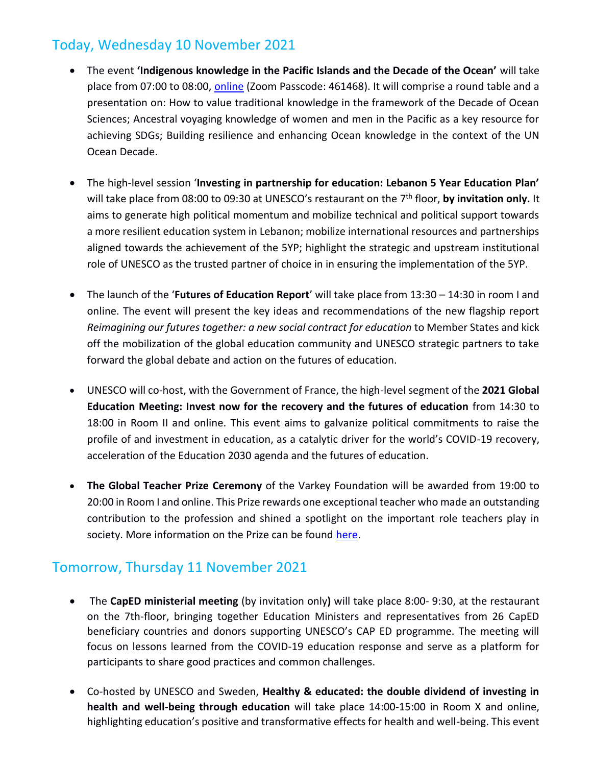## Today, Wednesday 10 November 2021

- The event **'Indigenous knowledge in the Pacific Islands and the Decade of the Ocean'** will take place from 07:00 to 08:00, [online](https://unesco-org.zoom.us/j/91695140562) (Zoom Passcode: 461468). It will comprise a round table and a presentation on: How to value traditional knowledge in the framework of the Decade of Ocean Sciences; Ancestral voyaging knowledge of women and men in the Pacific as a key resource for achieving SDGs; Building resilience and enhancing Ocean knowledge in the context of the UN Ocean Decade.
- The high-level session '**Investing in partnership for education: Lebanon 5 Year Education Plan'** will take place from 08:00 to 09:30 at UNESCO's restaurant on the 7 th floor, **by invitation only.** It aims to generate high political momentum and mobilize technical and political support towards a more resilient education system in Lebanon; mobilize international resources and partnerships aligned towards the achievement of the 5YP; highlight the strategic and upstream institutional role of UNESCO as the trusted partner of choice in in ensuring the implementation of the 5YP.
- The launch of the '**Futures of Education Report**' will take place from 13:30 14:30 in room I and online. The event will present the key ideas and recommendations of the new flagship report *Reimagining our futures together: a new social contract for education* to Member States and kick off the mobilization of the global education community and UNESCO strategic partners to take forward the global debate and action on the futures of education.
- UNESCO will co-host, with the Government of France, the high-level segment of the **2021 Global Education Meeting: Invest now for the recovery and the futures of education** from 14:30 to 18:00 in Room II and online. This event aims to galvanize political commitments to raise the profile of and investment in education, as a catalytic driver for the world's COVID-19 recovery, acceleration of the Education 2030 agenda and the futures of education.
- **The Global Teacher Prize Ceremony** of the Varkey Foundation will be awarded from 19:00 to 20:00 in Room I and online. This Prize rewards one exceptional teacher who made an outstanding contribution to the profession and shined a spotlight on the important role teachers play in society. More information on the Prize can be found [here.](https://www.globalteacherprize.org/)

#### Tomorrow, Thursday 11 November 2021

- The **CapED ministerial meeting** (by invitation only**)** will take place 8:00- 9:30, at the restaurant on the 7th-floor, bringing together Education Ministers and representatives from 26 CapED beneficiary countries and donors supporting UNESCO's CAP ED programme. The meeting will focus on lessons learned from the COVID-19 education response and serve as a platform for participants to share good practices and common challenges.
- Co-hosted by UNESCO and Sweden, **Healthy & educated: the double dividend of investing in health and well-being through education** will take place 14:00-15:00 in Room X and online, highlighting education's positive and transformative effects for health and well-being. This event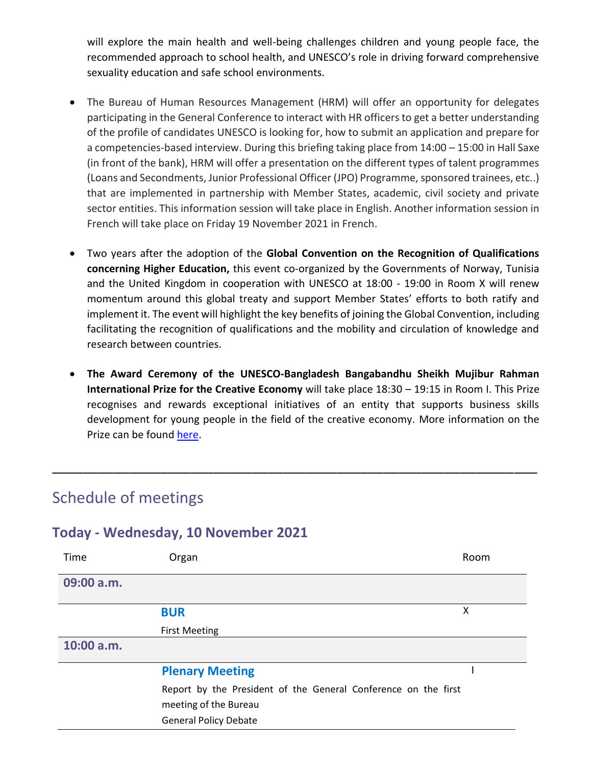will explore the main health and well-being challenges children and young people face, the recommended approach to school health, and UNESCO's role in driving forward comprehensive sexuality education and safe school environments.

- The Bureau of Human Resources Management (HRM) will offer an opportunity for delegates participating in the General Conference to interact with HR officers to get a better understanding of the profile of candidates UNESCO is looking for, how to submit an application and prepare for a competencies-based interview. During this briefing taking place from 14:00 – 15:00 in Hall Saxe (in front of the bank), HRM will offer a presentation on the different types of talent programmes (Loans and Secondments, Junior Professional Officer (JPO) Programme, sponsored trainees, etc..) that are implemented in partnership with Member States, academic, civil society and private sector entities. This information session will take place in English. Another information session in French will take place on Friday 19 November 2021 in French.
- Two years after the adoption of the **Global Convention on the Recognition of Qualifications concerning Higher Education,** this event co-organized by the Governments of Norway, Tunisia and the United Kingdom in cooperation with UNESCO at 18:00 - 19:00 in Room X will renew momentum around this global treaty and support Member States' efforts to both ratify and implement it. The event will highlight the key benefits of joining the Global Convention, including facilitating the recognition of qualifications and the mobility and circulation of knowledge and research between countries.
- **The Award Ceremony of the UNESCO-Bangladesh Bangabandhu Sheikh Mujibur Rahman International Prize for the Creative Economy** will take place 18:30 – 19:15 in Room I. This Prize recognises and rewards exceptional initiatives of an entity that supports business skills development for young people in the field of the creative economy. More information on the Prize can be found [here.](https://en.unesco.org/creativity/activities/unesco-bangladesh-bangabandhu-sheikh-mujibur)

\_\_\_\_\_\_\_\_\_\_\_\_\_\_\_\_\_\_\_\_\_\_\_\_\_\_\_\_\_\_\_\_\_\_\_\_\_\_\_\_\_\_\_\_\_\_\_\_\_\_\_\_\_\_\_\_\_\_\_\_\_\_\_

## Schedule of meetings

#### **Today - Wednesday, 10 November 2021**

| Time         | Organ                                                          | Room |  |
|--------------|----------------------------------------------------------------|------|--|
| 09:00 a.m.   |                                                                |      |  |
|              | <b>BUR</b>                                                     | X    |  |
|              | <b>First Meeting</b>                                           |      |  |
| $10:00$ a.m. |                                                                |      |  |
|              | <b>Plenary Meeting</b>                                         |      |  |
|              | Report by the President of the General Conference on the first |      |  |
|              | meeting of the Bureau                                          |      |  |
|              | <b>General Policy Debate</b>                                   |      |  |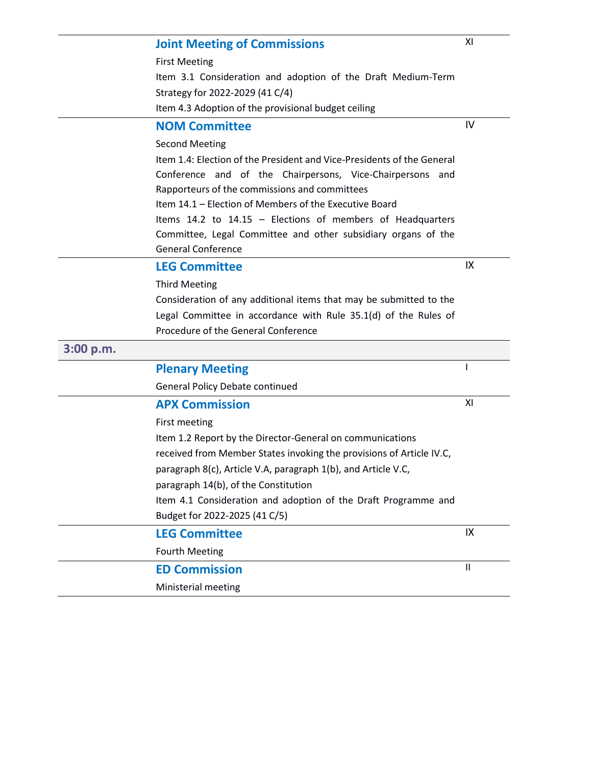|           | <b>Joint Meeting of Commissions</b>                                                                        | XI           |
|-----------|------------------------------------------------------------------------------------------------------------|--------------|
|           | <b>First Meeting</b>                                                                                       |              |
|           | Item 3.1 Consideration and adoption of the Draft Medium-Term                                               |              |
|           | Strategy for 2022-2029 (41 C/4)                                                                            |              |
|           | Item 4.3 Adoption of the provisional budget ceiling                                                        |              |
|           | <b>NOM Committee</b>                                                                                       | IV           |
|           | <b>Second Meeting</b>                                                                                      |              |
|           | Item 1.4: Election of the President and Vice-Presidents of the General                                     |              |
|           | Conference and of the Chairpersons, Vice-Chairpersons and<br>Rapporteurs of the commissions and committees |              |
|           | Item 14.1 - Election of Members of the Executive Board                                                     |              |
|           | Items 14.2 to 14.15 - Elections of members of Headquarters                                                 |              |
|           | Committee, Legal Committee and other subsidiary organs of the<br><b>General Conference</b>                 |              |
|           | <b>LEG Committee</b>                                                                                       | IX           |
|           | <b>Third Meeting</b>                                                                                       |              |
|           | Consideration of any additional items that may be submitted to the                                         |              |
|           | Legal Committee in accordance with Rule 35.1(d) of the Rules of                                            |              |
|           | Procedure of the General Conference                                                                        |              |
| 3:00 p.m. |                                                                                                            |              |
|           | <b>Plenary Meeting</b>                                                                                     |              |
|           | <b>General Policy Debate continued</b>                                                                     |              |
|           | <b>APX Commission</b>                                                                                      | XI           |
|           | First meeting                                                                                              |              |
|           | Item 1.2 Report by the Director-General on communications                                                  |              |
|           | received from Member States invoking the provisions of Article IV.C,                                       |              |
|           | paragraph 8(c), Article V.A, paragraph 1(b), and Article V.C,                                              |              |
|           |                                                                                                            |              |
|           | paragraph 14(b), of the Constitution                                                                       |              |
|           | Item 4.1 Consideration and adoption of the Draft Programme and                                             |              |
|           | Budget for 2022-2025 (41 C/5)                                                                              |              |
|           | <b>LEG Committee</b>                                                                                       | IX           |
|           | <b>Fourth Meeting</b>                                                                                      |              |
|           | <b>ED Commission</b>                                                                                       | $\mathbf{I}$ |